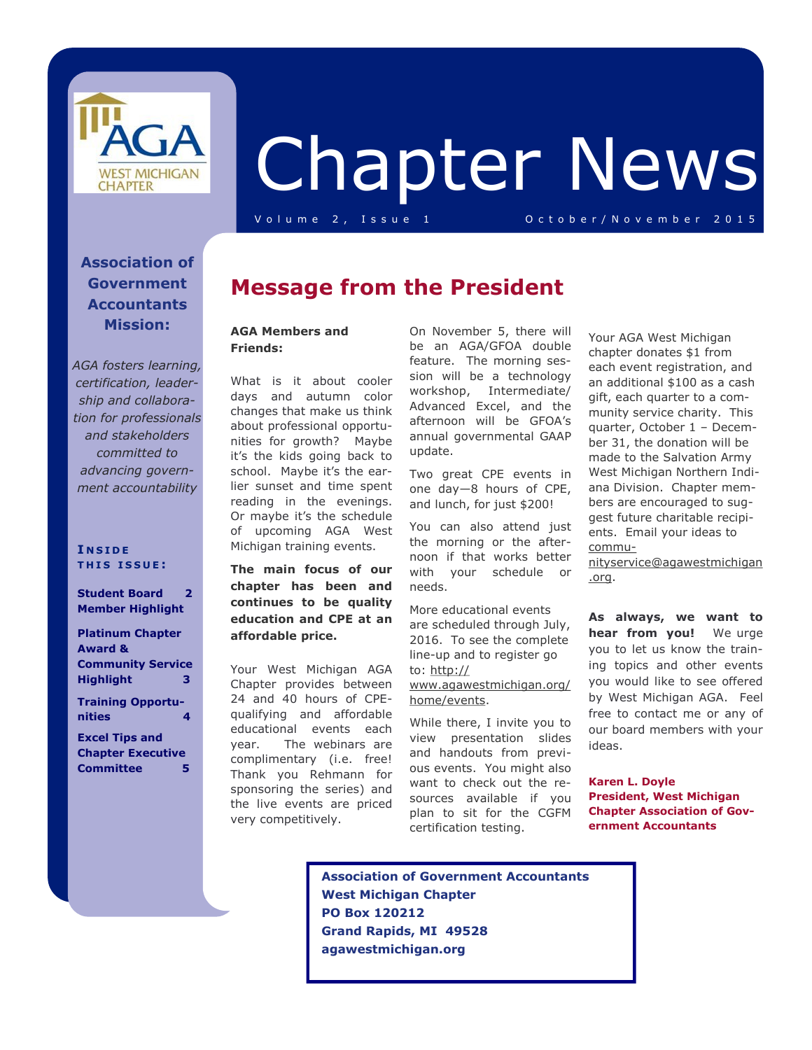

# Chapter News

V o l u m e 2 , I s s u e 1 O c t o b e r / N o v e m b e r 2 0 1 5

#### **Association of Government Accountants Mission:**

*AGA fosters learning, certification, leadership and collaboration for professionals and stakeholders committed to advancing government accountability*

#### **I N S I D E T H I S I S S U E :**

**Student Board 2 Member Highlight** 

**Platinum Chapter Award & Community Service Highlight 3 Training Opportu-**

**nities 4 Excel Tips and** 

**Chapter Executive Committee 5** 

### **Message from the President**

#### **AGA Members and Friends:**

What is it about cooler days and autumn color changes that make us think about professional opportunities for growth? Maybe it's the kids going back to school. Maybe it's the earlier sunset and time spent reading in the evenings. Or maybe it's the schedule of upcoming AGA West Michigan training events.

**The main focus of our chapter has been and continues to be quality education and CPE at an affordable price.**

Your West Michigan AGA Chapter provides between 24 and 40 hours of CPEqualifying and affordable educational events each year. The webinars are complimentary (i.e. free! Thank you Rehmann for sponsoring the series) and the live events are priced very competitively.

On November 5, there will be an AGA/GFOA double feature. The morning session will be a technology workshop, Intermediate/ Advanced Excel, and the afternoon will be GFOA's annual governmental GAAP update.

Two great CPE events in one day—8 hours of CPE, and lunch, for just \$200!

You can also attend just the morning or the afternoon if that works better with your schedule or needs.

More educational events are scheduled through July, 2016. To see the complete line-up and to register go to: [http://](http://www.agawestmichigan.org/home/events) [www.agawestmichigan.org/](http://www.agawestmichigan.org/home/events) [home/events.](http://www.agawestmichigan.org/home/events)

While there, I invite you to view presentation slides and handouts from previous events. You might also want to check out the resources available if you plan to sit for the CGFM certification testing.

Your AGA West Michigan chapter donates \$1 from each event registration, and an additional \$100 as a cash gift, each quarter to a community service charity. This quarter, October 1 – December 31, the donation will be made to the Salvation Army West Michigan Northern Indiana Division. Chapter members are encouraged to suggest future charitable recipients. Email your ideas to [commu-](mailto:communityservice@agawestmichigan.org)

[nityservice@agawestmichigan](mailto:communityservice@agawestmichigan.org) [.org.](mailto:communityservice@agawestmichigan.org)

**As always, we want to hear from you!** We urge you to let us know the training topics and other events you would like to see offered by West Michigan AGA. Feel free to contact me or any of our board members with your ideas.

**Karen L. Doyle President, West Michigan Chapter Association of Government Accountants**

 **Association of Government Accountants West Michigan Chapter PO Box 120212 Grand Rapids, MI 49528 agawestmichigan.org**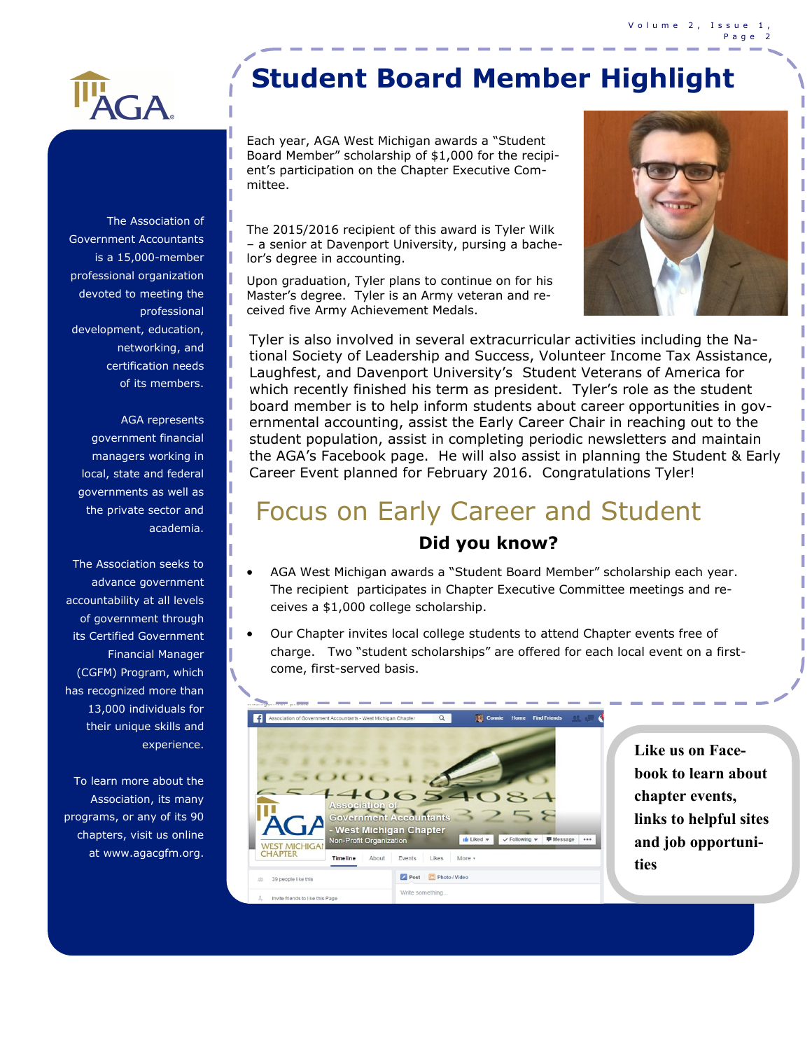

The Association of Government Accountants is a 15,000-member professional organization devoted to meeting the professional development, education, networking, and certification needs of its members.

AGA represents government financial managers working in local, state and federal governments as well as the private sector and academia.

The Association seeks to advance government accountability at all levels of government through its Certified Government Financial Manager (CGFM) Program, which has recognized more than 13,000 individuals for their unique skills and experience.

To learn more about the Association, its many programs, or any of its 90 chapters, visit us online at www.agacgfm.org.

# **Student Board Member Highlight**

Each year, AGA West Michigan awards a "Student Board Member" scholarship of \$1,000 for the recipient's participation on the Chapter Executive Committee.

The 2015/2016 recipient of this award is Tyler Wilk – a senior at Davenport University, pursing a bachelor's degree in accounting.

Upon graduation, Tyler plans to continue on for his Master's degree. Tyler is an Army veteran and received five Army Achievement Medals.



Tyler is also involved in several extracurricular activities including the National Society of Leadership and Success, Volunteer Income Tax Assistance, Laughfest, and Davenport University's Student Veterans of America for which recently finished his term as president. Tyler's role as the student board member is to help inform students about career opportunities in governmental accounting, assist the Early Career Chair in reaching out to the student population, assist in completing periodic newsletters and maintain the AGA's Facebook page. He will also assist in planning the Student & Early Career Event planned for February 2016. Congratulations Tyler!

# **Did you know?** Focus on Early Career and Student

- AGA West Michigan awards a "Student Board Member" scholarship each year. The recipient participates in Chapter Executive Committee meetings and receives a \$1,000 college scholarship.
- Our Chapter invites local college students to attend Chapter events free of charge. Two "student scholarships" are offered for each local event on a firstcome, first-served basis.



**Like us on Facebook to learn about chapter events, links to helpful sites and job opportunities**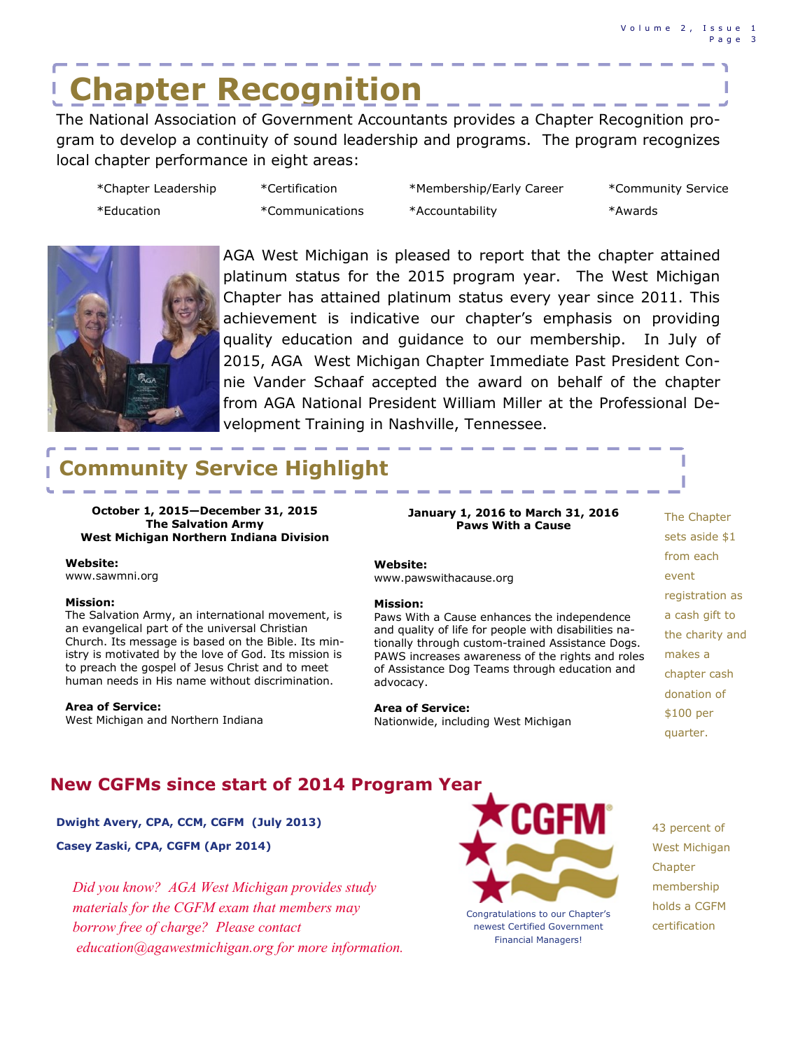# **Chapter Recognition**

The National Association of Government Accountants provides a Chapter Recognition program to develop a continuity of sound leadership and programs. The program recognizes local chapter performance in eight areas:

| *Chapter Leadership | *Certification  | *Membership/Early Career | *Community Service |
|---------------------|-----------------|--------------------------|--------------------|
| *Education          | *Communications | *Accountability          | *Awards            |



AGA West Michigan is pleased to report that the chapter attained platinum status for the 2015 program year. The West Michigan Chapter has attained platinum status every year since 2011. This achievement is indicative our chapter's emphasis on providing quality education and guidance to our membership. In July of 2015, AGA West Michigan Chapter Immediate Past President Connie Vander Schaaf accepted the award on behalf of the chapter from AGA National President William Miller at the Professional Development Training in Nashville, Tennessee.

# **Service Highlight**

**October 1, 2015—December 31, 2015 The Salvation Army West Michigan Northern Indiana Division**

#### **Website:**

www.sawmni.org

#### **Mission:**

The Salvation Army, an international movement, is an evangelical part of the universal Christian Church. Its message is based on the Bible. Its ministry is motivated by the love of God. Its mission is to preach the gospel of Jesus Christ and to meet human needs in His name without discrimination.

#### **Area of Service:**

West Michigan and Northern Indiana

#### **January 1, 2016 to March 31, 2016 Paws With a Cause**

#### **Website:**

www.pawswithacause.org

#### **Mission:**

Paws With a Cause enhances the independence and quality of life for people with disabilities nationally through custom-trained Assistance Dogs. PAWS increases awareness of the rights and roles of Assistance Dog Teams through education and advocacy.

#### **Area of Service:**

Nationwide, including West Michigan

The Chapter sets aside \$1 from each event registration as a cash gift to the charity and makes a chapter cash donation of \$100 per quarter.

I I

#### **New CGFMs since start of 2014 Program Year**

#### **Dwight Avery, CPA, CCM, CGFM (July 2013)**

**Casey Zaski, CPA, CGFM (Apr 2014)**

*Did you know? AGA West Michigan provides study materials for the CGFM exam that members may borrow free of charge? Please contact education@agawestmichigan.org for more information.*



Congratulations to our Chapter's newest Certified Government Financial Managers!

43 percent of West Michigan Chapter membership holds a CGFM certification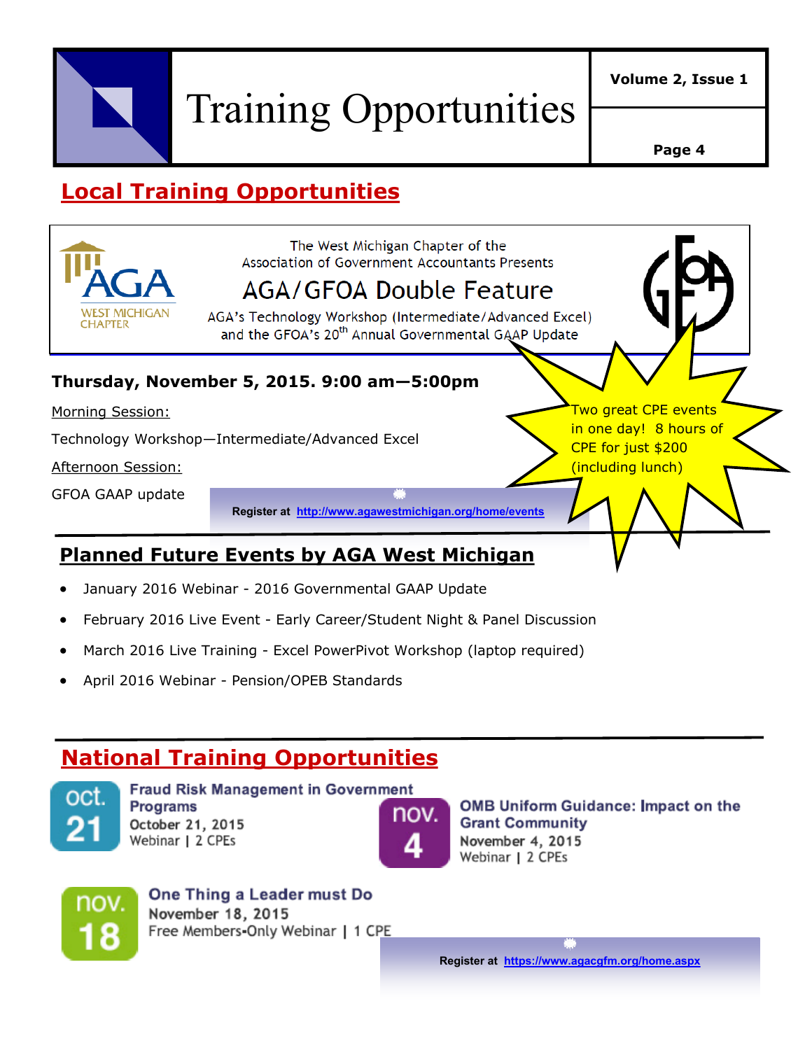

Training Opportunities

**Page 4**

# **Local Training Opportunities**



- February 2016 Live Event Early Career/Student Night & Panel Discussion
- March 2016 Live Training Excel PowerPivot Workshop (laptop required)
- April 2016 Webinar Pension/OPEB Standards

## **National Training Opportunities**



**Fraud Risk Management in Government Programs** October 21, 2015 Webinar | 2 CPEs



**OMB Uniform Guidance: Impact on the Grant Community** November 4, 2015 Webinar | 2 CPEs



One Thing a Leader must Do November 18, 2015 Free Members-Only Webinar | 1 CPE

**Register at [https://www.agacgfm.org/home.aspx](http://www.agacgfm.org/home.aspx)**